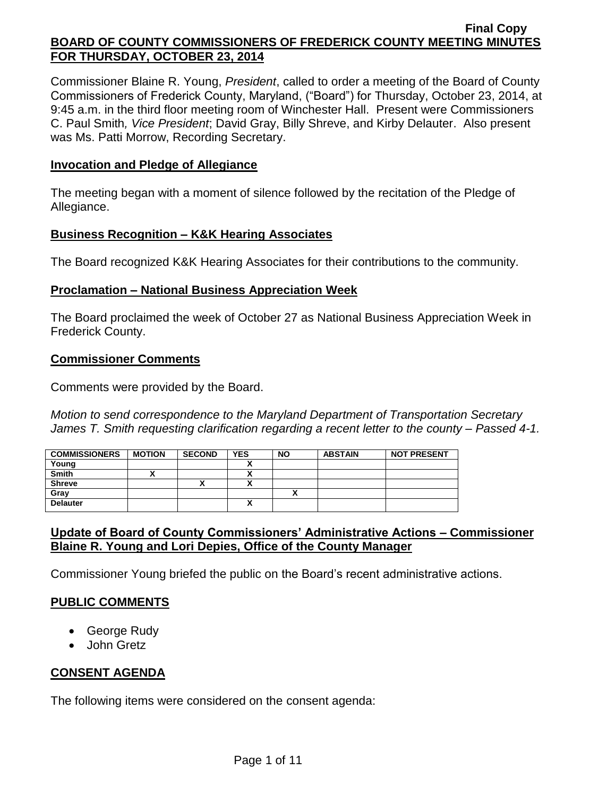Commissioner Blaine R. Young, *President*, called to order a meeting of the Board of County Commissioners of Frederick County, Maryland, ("Board") for Thursday, October 23, 2014, at 9:45 a.m. in the third floor meeting room of Winchester Hall. Present were Commissioners C. Paul Smith*, Vice President*; David Gray, Billy Shreve, and Kirby Delauter. Also present was Ms. Patti Morrow, Recording Secretary.

#### **Invocation and Pledge of Allegiance**

The meeting began with a moment of silence followed by the recitation of the Pledge of Allegiance.

#### **Business Recognition – K&K Hearing Associates**

The Board recognized K&K Hearing Associates for their contributions to the community.

#### **Proclamation – National Business Appreciation Week**

The Board proclaimed the week of October 27 as National Business Appreciation Week in Frederick County.

#### **Commissioner Comments**

Comments were provided by the Board.

*Motion to send correspondence to the Maryland Department of Transportation Secretary James T. Smith requesting clarification regarding a recent letter to the county – Passed 4-1.*

| <b>COMMISSIONERS</b> | <b>MOTION</b> | <b>SECOND</b> | <b>YES</b> | <b>NO</b> | <b>ABSTAIN</b> | <b>NOT PRESENT</b> |
|----------------------|---------------|---------------|------------|-----------|----------------|--------------------|
| Young                |               |               |            |           |                |                    |
| <b>Smith</b>         |               |               | ~          |           |                |                    |
| <b>Shreve</b>        |               | ^             |            |           |                |                    |
| Gray                 |               |               |            |           |                |                    |
| <b>Delauter</b>      |               |               | n          |           |                |                    |

## **Update of Board of County Commissioners' Administrative Actions – Commissioner Blaine R. Young and Lori Depies, Office of the County Manager**

Commissioner Young briefed the public on the Board's recent administrative actions.

## **PUBLIC COMMENTS**

- George Rudy
- John Gretz

## **CONSENT AGENDA**

The following items were considered on the consent agenda: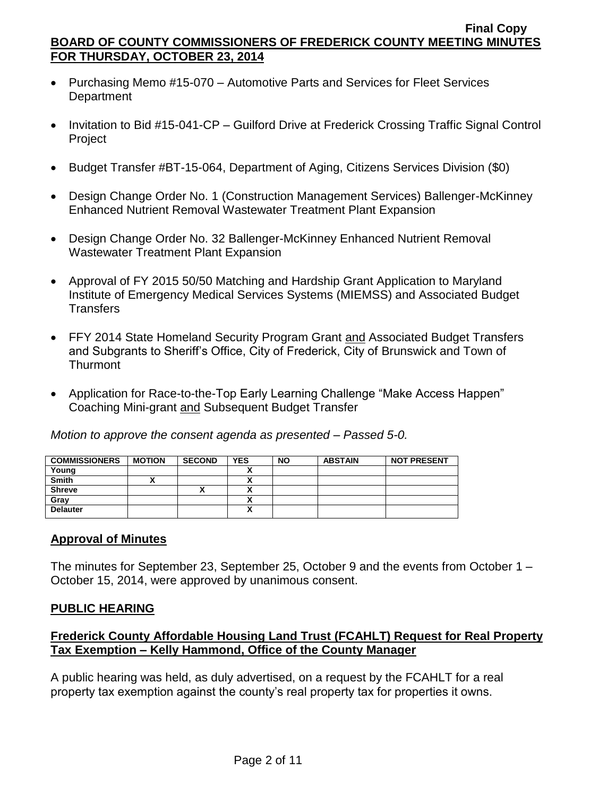- Purchasing Memo #15-070 Automotive Parts and Services for Fleet Services **Department**
- Invitation to Bid #15-041-CP Guilford Drive at Frederick Crossing Traffic Signal Control **Project**
- Budget Transfer #BT-15-064, Department of Aging, Citizens Services Division (\$0)
- Design Change Order No. 1 (Construction Management Services) Ballenger-McKinney Enhanced Nutrient Removal Wastewater Treatment Plant Expansion
- Design Change Order No. 32 Ballenger-McKinney Enhanced Nutrient Removal Wastewater Treatment Plant Expansion
- Approval of FY 2015 50/50 Matching and Hardship Grant Application to Maryland Institute of Emergency Medical Services Systems (MIEMSS) and Associated Budget **Transfers**
- FFY 2014 State Homeland Security Program Grant and Associated Budget Transfers and Subgrants to Sheriff's Office, City of Frederick, City of Brunswick and Town of **Thurmont**
- Application for Race-to-the-Top Early Learning Challenge "Make Access Happen" Coaching Mini-grant and Subsequent Budget Transfer

*Motion to approve the consent agenda as presented – Passed 5-0.*

| <b>COMMISSIONERS</b> | <b>MOTION</b> | <b>SECOND</b> | <b>YES</b> | <b>NO</b> | <b>ABSTAIN</b> | <b>NOT PRESENT</b> |
|----------------------|---------------|---------------|------------|-----------|----------------|--------------------|
| Young                |               |               |            |           |                |                    |
| <b>Smith</b>         |               |               |            |           |                |                    |
| <b>Shreve</b>        |               | Λ             |            |           |                |                    |
| Gray                 |               |               |            |           |                |                    |
| <b>Delauter</b>      |               |               |            |           |                |                    |

## **Approval of Minutes**

The minutes for September 23, September 25, October 9 and the events from October 1 – October 15, 2014, were approved by unanimous consent.

## **PUBLIC HEARING**

# **Frederick County Affordable Housing Land Trust (FCAHLT) Request for Real Property Tax Exemption – Kelly Hammond, Office of the County Manager**

A public hearing was held, as duly advertised, on a request by the FCAHLT for a real property tax exemption against the county's real property tax for properties it owns.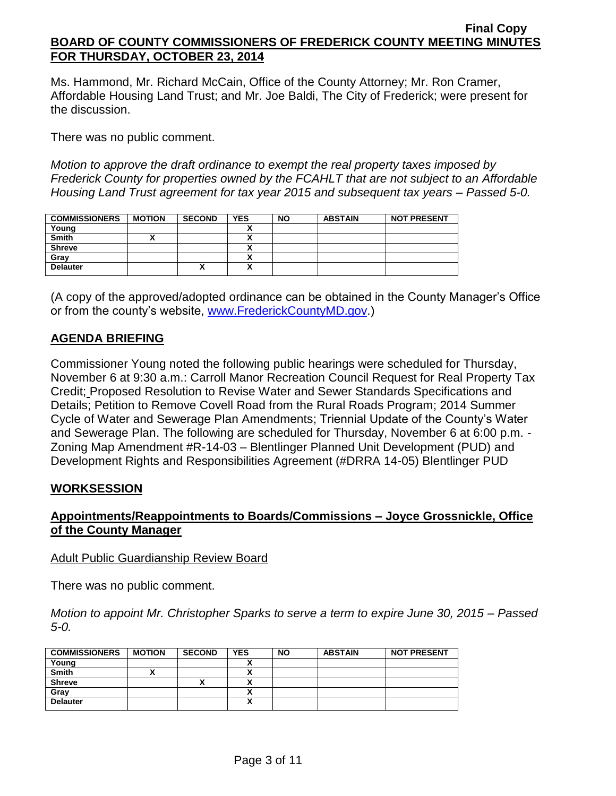Ms. Hammond, Mr. Richard McCain, Office of the County Attorney; Mr. Ron Cramer, Affordable Housing Land Trust; and Mr. Joe Baldi, The City of Frederick; were present for the discussion.

There was no public comment.

*Motion to approve the draft ordinance to exempt the real property taxes imposed by Frederick County for properties owned by the FCAHLT that are not subject to an Affordable Housing Land Trust agreement for tax year 2015 and subsequent tax years – Passed 5-0.*

| <b>COMMISSIONERS</b> | <b>MOTION</b> | <b>SECOND</b> | <b>YES</b> | <b>NO</b> | <b>ABSTAIN</b> | <b>NOT PRESENT</b> |
|----------------------|---------------|---------------|------------|-----------|----------------|--------------------|
| Young                |               |               |            |           |                |                    |
| <b>Smith</b>         |               |               | n          |           |                |                    |
| <b>Shreve</b>        |               |               |            |           |                |                    |
| Gray                 |               |               |            |           |                |                    |
| <b>Delauter</b>      |               | Λ             | v<br>^     |           |                |                    |

(A copy of the approved/adopted ordinance can be obtained in the County Manager's Office or from the county's website, [www.FrederickCountyMD.gov.](http://www.frederickcountymd.gov/))

## **AGENDA BRIEFING**

Commissioner Young noted the following public hearings were scheduled for Thursday, November 6 at 9:30 a.m.: Carroll Manor Recreation Council Request for Real Property Tax Credit; Proposed Resolution to Revise Water and Sewer Standards Specifications and Details; Petition to Remove Covell Road from the Rural Roads Program; 2014 Summer Cycle of Water and Sewerage Plan Amendments; Triennial Update of the County's Water and Sewerage Plan. The following are scheduled for Thursday, November 6 at 6:00 p.m. - Zoning Map Amendment #R-14-03 – Blentlinger Planned Unit Development (PUD) and Development Rights and Responsibilities Agreement (#DRRA 14-05) Blentlinger PUD

## **WORKSESSION**

## **Appointments/Reappointments to Boards/Commissions – Joyce Grossnickle, Office of the County Manager**

#### Adult Public Guardianship Review Board

There was no public comment.

*Motion to appoint Mr. Christopher Sparks to serve a term to expire June 30, 2015 – Passed 5-0.*

| <b>COMMISSIONERS</b> | <b>MOTION</b> | <b>SECOND</b> | <b>YES</b> | <b>NO</b> | <b>ABSTAIN</b> | <b>NOT PRESENT</b> |
|----------------------|---------------|---------------|------------|-----------|----------------|--------------------|
| Young                |               |               |            |           |                |                    |
| Smith                |               |               |            |           |                |                    |
| <b>Shreve</b>        |               |               |            |           |                |                    |
| Grav                 |               |               |            |           |                |                    |
| <b>Delauter</b>      |               |               |            |           |                |                    |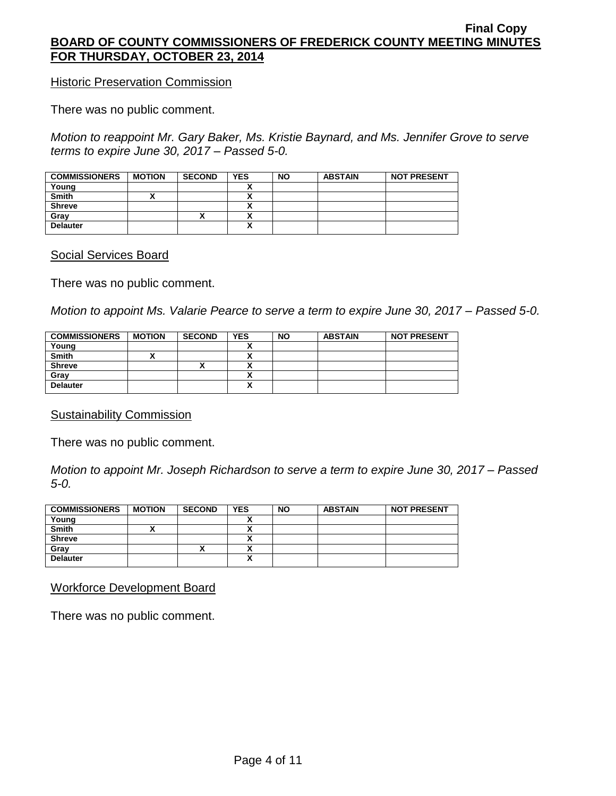**Historic Preservation Commission** 

There was no public comment.

*Motion to reappoint Mr. Gary Baker, Ms. Kristie Baynard, and Ms. Jennifer Grove to serve terms to expire June 30, 2017 – Passed 5-0.*

| <b>COMMISSIONERS</b> | <b>MOTION</b> | <b>SECOND</b> | <b>YES</b> | <b>NO</b> | <b>ABSTAIN</b> | <b>NOT PRESENT</b> |
|----------------------|---------------|---------------|------------|-----------|----------------|--------------------|
| Young                |               |               |            |           |                |                    |
| <b>Smith</b>         |               |               |            |           |                |                    |
| <b>Shreve</b>        |               |               |            |           |                |                    |
| Gray                 |               | ́             |            |           |                |                    |
| <b>Delauter</b>      |               |               | ~          |           |                |                    |

Social Services Board

There was no public comment.

*Motion to appoint Ms. Valarie Pearce to serve a term to expire June 30, 2017 – Passed 5-0.*

| <b>COMMISSIONERS</b> | <b>MOTION</b> | <b>SECOND</b> | <b>YES</b> | <b>NO</b> | <b>ABSTAIN</b> | <b>NOT PRESENT</b> |
|----------------------|---------------|---------------|------------|-----------|----------------|--------------------|
| Young                |               |               |            |           |                |                    |
| <b>Smith</b>         |               |               | A          |           |                |                    |
| <b>Shreve</b>        |               | "             | ~          |           |                |                    |
| Gray                 |               |               | A          |           |                |                    |
| <b>Delauter</b>      |               |               | ~          |           |                |                    |

Sustainability Commission

There was no public comment.

*Motion to appoint Mr. Joseph Richardson to serve a term to expire June 30, 2017 – Passed 5-0.*

| <b>COMMISSIONERS</b> | <b>MOTION</b> | <b>SECOND</b> | <b>YES</b> | <b>NO</b> | <b>ABSTAIN</b> | <b>NOT PRESENT</b> |
|----------------------|---------------|---------------|------------|-----------|----------------|--------------------|
| Young                |               |               |            |           |                |                    |
| <b>Smith</b>         |               |               |            |           |                |                    |
| <b>Shreve</b>        |               |               |            |           |                |                    |
| Gray                 |               |               |            |           |                |                    |
| <b>Delauter</b>      |               |               | Λ          |           |                |                    |

Workforce Development Board

There was no public comment.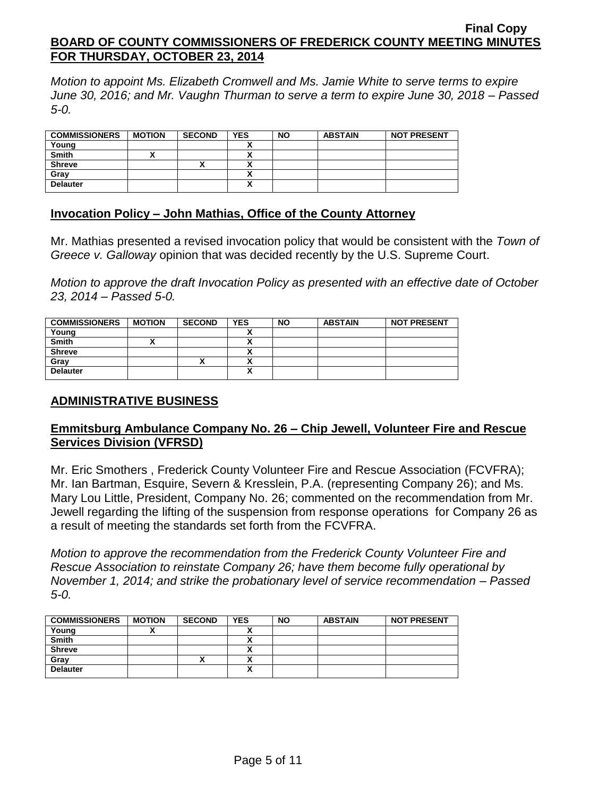*Motion to appoint Ms. Elizabeth Cromwell and Ms. Jamie White to serve terms to expire June 30, 2016; and Mr. Vaughn Thurman to serve a term to expire June 30, 2018 – Passed 5-0.*

| <b>COMMISSIONERS</b> | <b>MOTION</b> | <b>SECOND</b> | <b>YES</b> | <b>NO</b> | <b>ABSTAIN</b> | <b>NOT PRESENT</b> |
|----------------------|---------------|---------------|------------|-----------|----------------|--------------------|
| Young                |               |               |            |           |                |                    |
| <b>Smith</b>         |               |               |            |           |                |                    |
| <b>Shreve</b>        |               | ^             |            |           |                |                    |
| Gray                 |               |               |            |           |                |                    |
| <b>Delauter</b>      |               |               | v<br>A     |           |                |                    |
|                      |               |               |            |           |                |                    |

#### **Invocation Policy – John Mathias, Office of the County Attorney**

Mr. Mathias presented a revised invocation policy that would be consistent with the *Town of Greece v. Galloway* opinion that was decided recently by the U.S. Supreme Court.

*Motion to approve the draft Invocation Policy as presented with an effective date of October 23, 2014 – Passed 5-0.*

| <b>COMMISSIONERS</b> | <b>MOTION</b> | <b>SECOND</b> | <b>YES</b> | <b>NO</b> | <b>ABSTAIN</b> | <b>NOT PRESENT</b> |
|----------------------|---------------|---------------|------------|-----------|----------------|--------------------|
| Young                |               |               |            |           |                |                    |
| <b>Smith</b>         |               |               |            |           |                |                    |
| <b>Shreve</b>        |               |               |            |           |                |                    |
| Gray                 |               | ,,            |            |           |                |                    |
| <b>Delauter</b>      |               |               |            |           |                |                    |

## **ADMINISTRATIVE BUSINESS**

## **Emmitsburg Ambulance Company No. 26 – Chip Jewell, Volunteer Fire and Rescue Services Division (VFRSD)**

Mr. Eric Smothers , Frederick County Volunteer Fire and Rescue Association (FCVFRA); Mr. Ian Bartman, Esquire, Severn & Kresslein, P.A. (representing Company 26); and Ms. Mary Lou Little, President, Company No. 26; commented on the recommendation from Mr. Jewell regarding the lifting of the suspension from response operations for Company 26 as a result of meeting the standards set forth from the FCVFRA.

*Motion to approve the recommendation from the Frederick County Volunteer Fire and Rescue Association to reinstate Company 26; have them become fully operational by November 1, 2014; and strike the probationary level of service recommendation – Passed 5-0.*

| <b>COMMISSIONERS</b> | <b>MOTION</b> | <b>SECOND</b> | <b>YES</b> | <b>NO</b> | <b>ABSTAIN</b> | <b>NOT PRESENT</b> |
|----------------------|---------------|---------------|------------|-----------|----------------|--------------------|
| Young                |               |               |            |           |                |                    |
| <b>Smith</b>         |               |               |            |           |                |                    |
| <b>Shreve</b>        |               |               |            |           |                |                    |
| Gray                 |               | ́             | A          |           |                |                    |
| <b>Delauter</b>      |               |               | A          |           |                |                    |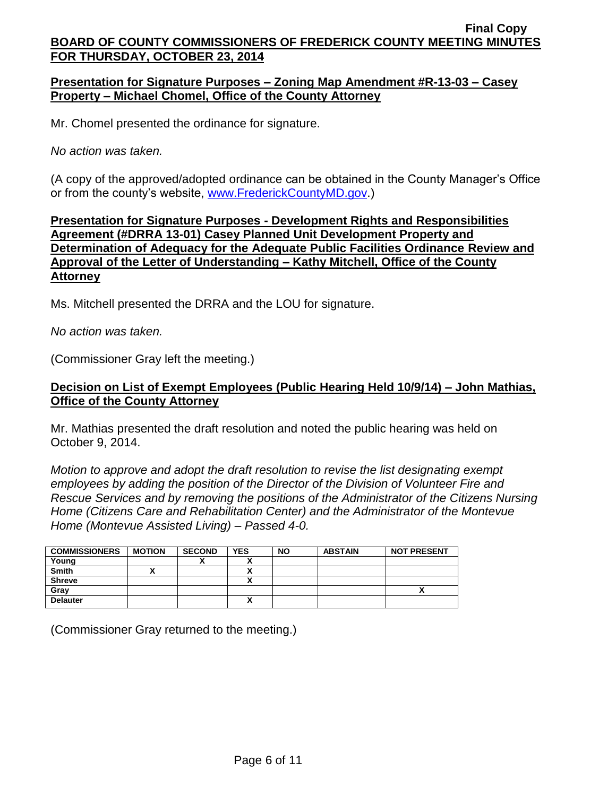## **Presentation for Signature Purposes – Zoning Map Amendment #R-13-03 – Casey Property – Michael Chomel, Office of the County Attorney**

Mr. Chomel presented the ordinance for signature.

*No action was taken.*

(A copy of the approved/adopted ordinance can be obtained in the County Manager's Office or from the county's website, [www.FrederickCountyMD.gov.](http://www.frederickcountymd.gov/))

## **Presentation for Signature Purposes - Development Rights and Responsibilities Agreement (#DRRA 13-01) Casey Planned Unit Development Property and Determination of Adequacy for the Adequate Public Facilities Ordinance Review and Approval of the Letter of Understanding – Kathy Mitchell, Office of the County Attorney**

Ms. Mitchell presented the DRRA and the LOU for signature.

*No action was taken.*

(Commissioner Gray left the meeting.)

#### **Decision on List of Exempt Employees (Public Hearing Held 10/9/14) – John Mathias, Office of the County Attorney**

Mr. Mathias presented the draft resolution and noted the public hearing was held on October 9, 2014.

*Motion to approve and adopt the draft resolution to revise the list designating exempt employees by adding the position of the Director of the Division of Volunteer Fire and Rescue Services and by removing the positions of the Administrator of the Citizens Nursing Home (Citizens Care and Rehabilitation Center) and the Administrator of the Montevue Home (Montevue Assisted Living) – Passed 4-0.*

| <b>COMMISSIONERS</b> | <b>MOTION</b> | <b>SECOND</b> | <b>YES</b> | <b>NO</b> | <b>ABSTAIN</b> | <b>NOT PRESENT</b> |
|----------------------|---------------|---------------|------------|-----------|----------------|--------------------|
| Young                |               | "             | . .        |           |                |                    |
| <b>Smith</b>         |               |               |            |           |                |                    |
| <b>Shreve</b>        |               |               |            |           |                |                    |
| Gray                 |               |               |            |           |                |                    |
| <b>Delauter</b>      |               |               |            |           |                |                    |

(Commissioner Gray returned to the meeting.)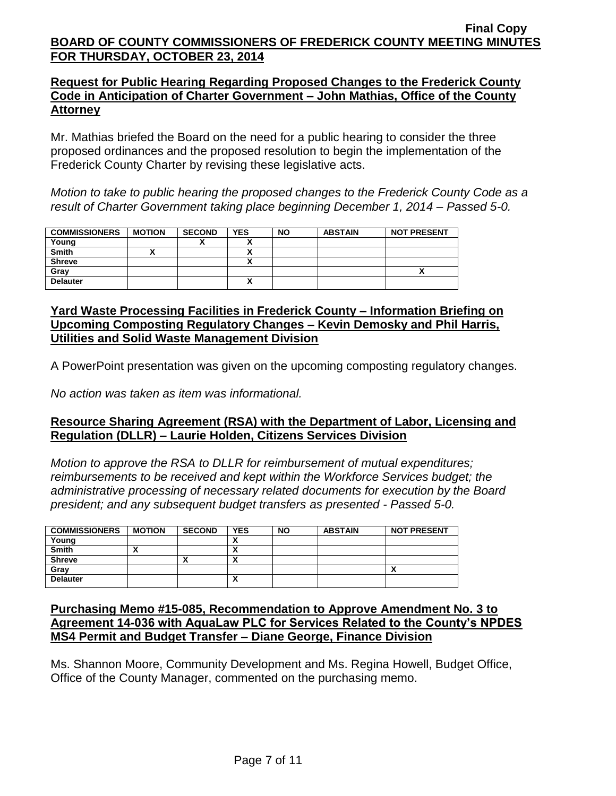## **Request for Public Hearing Regarding Proposed Changes to the Frederick County Code in Anticipation of Charter Government – John Mathias, Office of the County Attorney**

Mr. Mathias briefed the Board on the need for a public hearing to consider the three proposed ordinances and the proposed resolution to begin the implementation of the Frederick County Charter by revising these legislative acts.

*Motion to take to public hearing the proposed changes to the Frederick County Code as a result of Charter Government taking place beginning December 1, 2014 – Passed 5-0.*

| <b>COMMISSIONERS</b> | <b>MOTION</b> | <b>SECOND</b> | <b>YES</b> | <b>NO</b> | <b>ABSTAIN</b> | <b>NOT PRESENT</b> |
|----------------------|---------------|---------------|------------|-----------|----------------|--------------------|
| Young                |               | ,,            | v          |           |                |                    |
| <b>Smith</b>         |               |               |            |           |                |                    |
| <b>Shreve</b>        |               |               | ~          |           |                |                    |
| Gray                 |               |               |            |           |                | A                  |
| <b>Delauter</b>      |               |               | Λ          |           |                |                    |

## **Yard Waste Processing Facilities in Frederick County – Information Briefing on Upcoming Composting Regulatory Changes – Kevin Demosky and Phil Harris, Utilities and Solid Waste Management Division**

A PowerPoint presentation was given on the upcoming composting regulatory changes.

*No action was taken as item was informational.*

## **Resource Sharing Agreement (RSA) with the Department of Labor, Licensing and Regulation (DLLR) – Laurie Holden, Citizens Services Division**

*Motion to approve the RSA to DLLR for reimbursement of mutual expenditures; reimbursements to be received and kept within the Workforce Services budget; the administrative processing of necessary related documents for execution by the Board president; and any subsequent budget transfers as presented - Passed 5-0.*

| <b>COMMISSIONERS</b> | <b>MOTION</b> | <b>SECOND</b> | <b>YES</b> | <b>NO</b> | <b>ABSTAIN</b> | <b>NOT PRESENT</b> |
|----------------------|---------------|---------------|------------|-----------|----------------|--------------------|
| Young                |               |               |            |           |                |                    |
| <b>Smith</b>         | ~             |               | ^          |           |                |                    |
| <b>Shreve</b>        |               | ,,            | ^          |           |                |                    |
| Gray                 |               |               |            |           |                | ,,                 |
| <b>Delauter</b>      |               |               | $\lambda$  |           |                |                    |

## **Purchasing Memo #15-085, Recommendation to Approve Amendment No. 3 to Agreement 14-036 with AquaLaw PLC for Services Related to the County's NPDES MS4 Permit and Budget Transfer – Diane George, Finance Division**

Ms. Shannon Moore, Community Development and Ms. Regina Howell, Budget Office, Office of the County Manager, commented on the purchasing memo.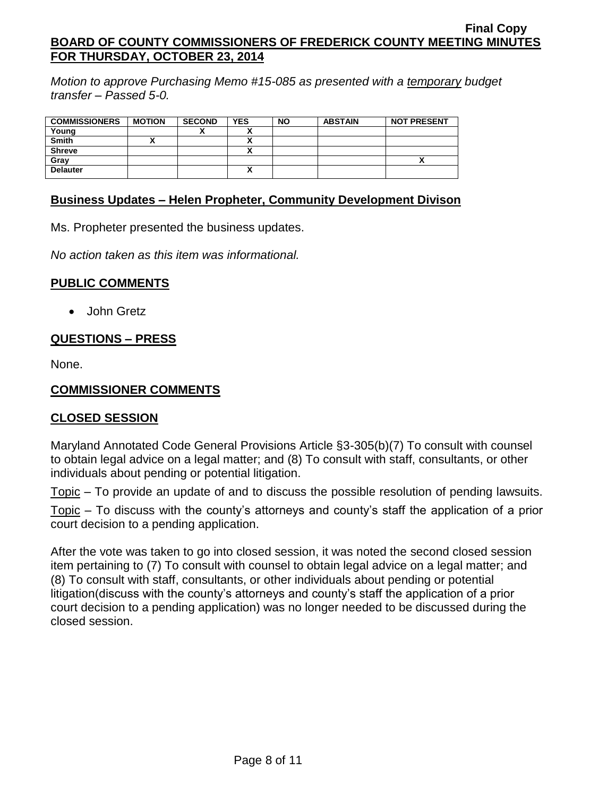*Motion to approve Purchasing Memo #15-085 as presented with a temporary budget transfer – Passed 5-0.*

| <b>COMMISSIONERS</b> | <b>MOTION</b> | <b>SECOND</b> | <b>YES</b> | <b>NO</b> | <b>ABSTAIN</b> | <b>NOT PRESENT</b> |
|----------------------|---------------|---------------|------------|-----------|----------------|--------------------|
| Young                |               |               |            |           |                |                    |
| <b>Smith</b>         |               |               |            |           |                |                    |
| <b>Shreve</b>        |               |               |            |           |                |                    |
|                      |               |               |            |           |                |                    |
| Gray                 |               |               |            |           |                |                    |
| <b>Delauter</b>      |               |               | A          |           |                |                    |

#### **Business Updates – Helen Propheter, Community Development Divison**

Ms. Propheter presented the business updates.

*No action taken as this item was informational.*

#### **PUBLIC COMMENTS**

• John Gretz

## **QUESTIONS – PRESS**

None.

#### **COMMISSIONER COMMENTS**

#### **CLOSED SESSION**

Maryland Annotated Code General Provisions Article §3-305(b)(7) To consult with counsel to obtain legal advice on a legal matter; and (8) To consult with staff, consultants, or other individuals about pending or potential litigation.

Topic – To provide an update of and to discuss the possible resolution of pending lawsuits.

Topic – To discuss with the county's attorneys and county's staff the application of a prior court decision to a pending application.

After the vote was taken to go into closed session, it was noted the second closed session item pertaining to (7) To consult with counsel to obtain legal advice on a legal matter; and (8) To consult with staff, consultants, or other individuals about pending or potential litigation(discuss with the county's attorneys and county's staff the application of a prior court decision to a pending application) was no longer needed to be discussed during the closed session.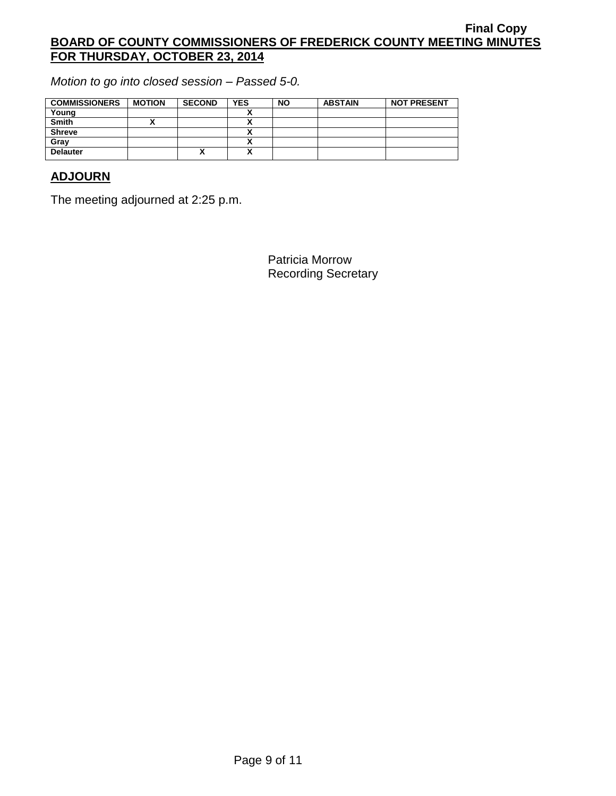*Motion to go into closed session – Passed 5-0.*

| <b>COMMISSIONERS</b> | <b>MOTION</b> | <b>SECOND</b> | <b>YES</b> | <b>NO</b> | <b>ABSTAIN</b> | <b>NOT PRESENT</b> |
|----------------------|---------------|---------------|------------|-----------|----------------|--------------------|
| Young                |               |               |            |           |                |                    |
| <b>Smith</b>         |               |               |            |           |                |                    |
| <b>Shreve</b>        |               |               |            |           |                |                    |
| Gray                 |               |               |            |           |                |                    |
| <b>Delauter</b>      |               | ́             | A          |           |                |                    |

# **ADJOURN**

The meeting adjourned at 2:25 p.m.

Patricia Morrow Recording Secretary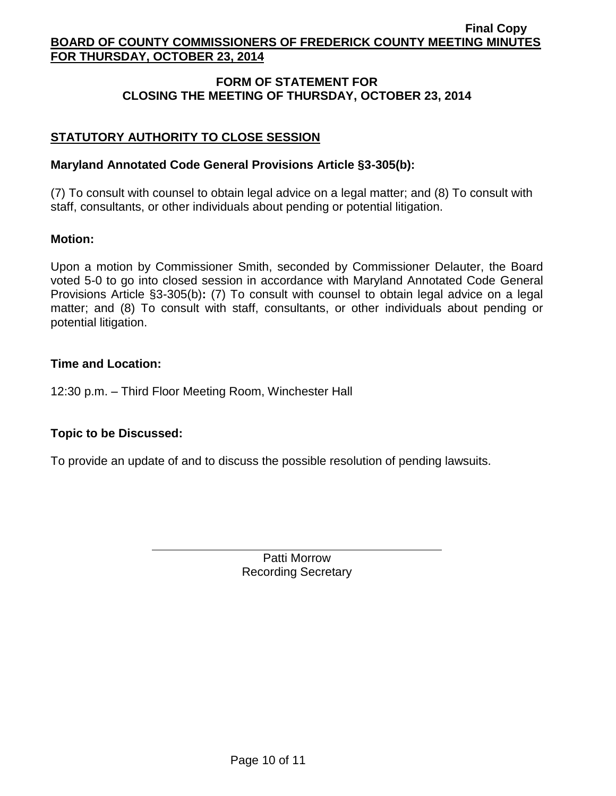## **FORM OF STATEMENT FOR CLOSING THE MEETING OF THURSDAY, OCTOBER 23, 2014**

# **STATUTORY AUTHORITY TO CLOSE SESSION**

#### **Maryland Annotated Code General Provisions Article §3-305(b):**

(7) To consult with counsel to obtain legal advice on a legal matter; and (8) To consult with staff, consultants, or other individuals about pending or potential litigation.

#### **Motion:**

Upon a motion by Commissioner Smith, seconded by Commissioner Delauter, the Board voted 5-0 to go into closed session in accordance with Maryland Annotated Code General Provisions Article §3-305(b)**:** (7) To consult with counsel to obtain legal advice on a legal matter; and (8) To consult with staff, consultants, or other individuals about pending or potential litigation.

#### **Time and Location:**

12:30 p.m. – Third Floor Meeting Room, Winchester Hall

## **Topic to be Discussed:**

To provide an update of and to discuss the possible resolution of pending lawsuits.

Patti Morrow Recording Secretary